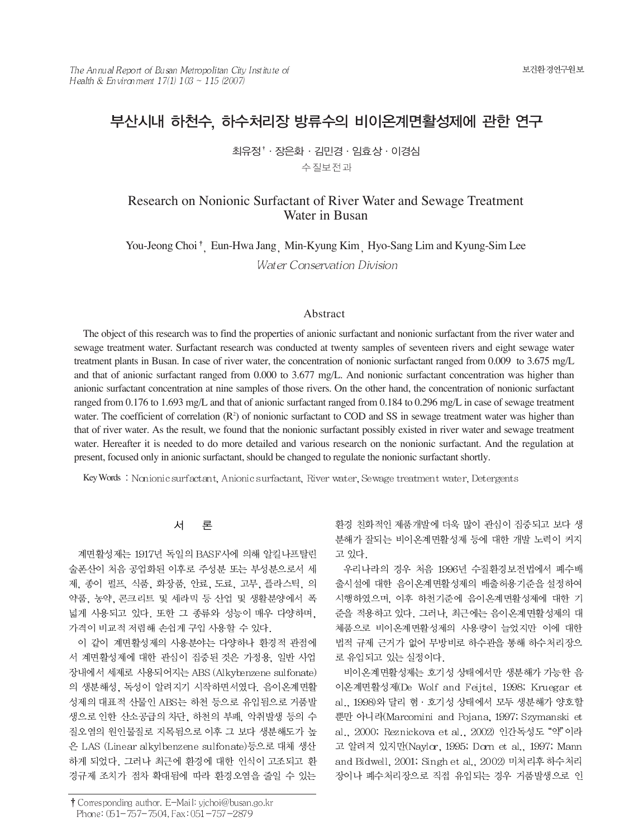# 부산시내 하천수, 하수처리장 방류수의 비이온계면활성제에 관한 연구

최유정<sup>↑</sup> · 장은화 · 김민경 · 임효상 · 이경심 수질보전과

Research on Nonionic Surfactant of River Water and Sewage Treatment Water in Busan

You-Jeong Choi<sup>†</sup> Eun-Hwa Jang Min-Kyung Kim Hyo-Sang Lim and Kyung-Sim Lee Water Conservation Division

### Abstract

The object of this research was to find the properties of anionic surfactant and nonionic surfactant from the river water and sewage treatment water. Surfactant research was conducted at twenty samples of seventeen rivers and eight sewage water treatment plants in Busan. In case of river water, the concentration of nonionic surfactant ranged from 0.009 to 3.675 mg/L and that of anionic surfactant ranged from 0.000 to 3.677 mg/L. And nonionic surfactant concentration was higher than anionic surfactant concentration at nine samples of those rivers. On the other hand, the concentration of nonionic surfactant ranged from 0.176 to 1.693 mg/L and that of anionic surfactant ranged from 0.184 to 0.296 mg/L in case of sewage treatment water. The coefficient of correlation  $(\mathbb{R}^2)$  of nonionic surfactant to COD and SS in sewage treatment water was higher than that of river water. As the result, we found that the nonionic surfactant possibly existed in river water and sewage treatment water. Hereafter it is needed to do more detailed and various research on the nonionic surfactant. And the regulation at present, focused only in anionic surfactant, should be changed to regulate the nonionic surfactant shortly.

Key Words : Nonionic surfactant, Anionic surfactant, River water, Sewage treatment water, Detergents

#### 서 异

계면활성제는 1917년 독일의 BASF사에 의해 알킬나프탈린 술폰산이 처음 공업화된 이후로 주성분 또는 부성분으로서 세 제, 종이 펄프, 식품, 화장품, 안료, 도료, 고무, 플라스틱, 의 약품, 농약, 콘크리트 및 세라믹 등 산업 및 생활분양에서 폭 넓게 사용되고 있다. 또한 그 종류와 성능이 매우 다양하며, 가격이 비교적 저렴해 손쉽게 구입 사용할 수 있다.

이 같이 계면활성제의 사용분야는 다양하나 환경적 관점에 서 계면활성제에 대한 관심이 집중된 것은 가정용, 일반 사업 장내에서 세제로 사용되어지는 ABS (Alkybenzene sulfonate) 의 생분해성, 독성이 알려지기 시작하면서였다. 음이온계면활 성제의 대표적 산물인 ABS는 하천 등으로 유입됨으로 거품발 생으로 인한 산소공급의 차단, 하천의 부패, 악취발생 등의 수 질오염의 원인물질로 지목됨으로 이후 그 보다 생분해도가 높 은 LAS (Linear alkylbenzene sulfonate)등으로 대체 생산 하게 되었다. 그러나 최근에 환경에 대한 인식이 고조되고 환 경규제 조치가 점차 확대됨에 따라 환경오염을 줄일 수 있는

환경 친화적인 제품개발에 더욱 많이 관심이 집중되고 보다 생 분해가 잘되는 비이온계면활성제 등에 대한 개발 노력이 커지 고 있다.

우리나라의 경우 처음 1996년 수질환경보전법에서 폐수배 출시설에 대한 음이온계면활성제의 배출허용기준을 설정하여 시행하였으며, 이후 하천기준에 음이온계면활성제에 대한 기 준을 적용하고 있다. 그러나, 최근에는 음이온계면활성제의 대 체품으로 비이온계면활성제의 사용량이 늘었지만 이에 대한 법적 규제 근거가 없어 무방비로 하수관을 통해 하수처리장으 로 유입되고 있는 실정이다.

비이온계면활성제는 호기성 상태에서만 생분해가 가능한 음 이온계면활성제(De Wolf and Feijtel, 1998; Kruegar et al., 1998)와 달리 혐 · 호기성 상태에서 모두 생분해가 양호할 뿐만 아니라(Marcomini and Pojana, 1997; Szymanski et al., 2000; Reznickova et al., 2002) 인간독성도 "약"이라 고 알려져 있지만(Naylor, 1995; Dorn et al., 1997; Mann and Bidwell, 2001; Singh et al., 2002) 미처리후 하수처리 장이나 폐수처리장으로 직접 유입되는 경우 거품발생으로 인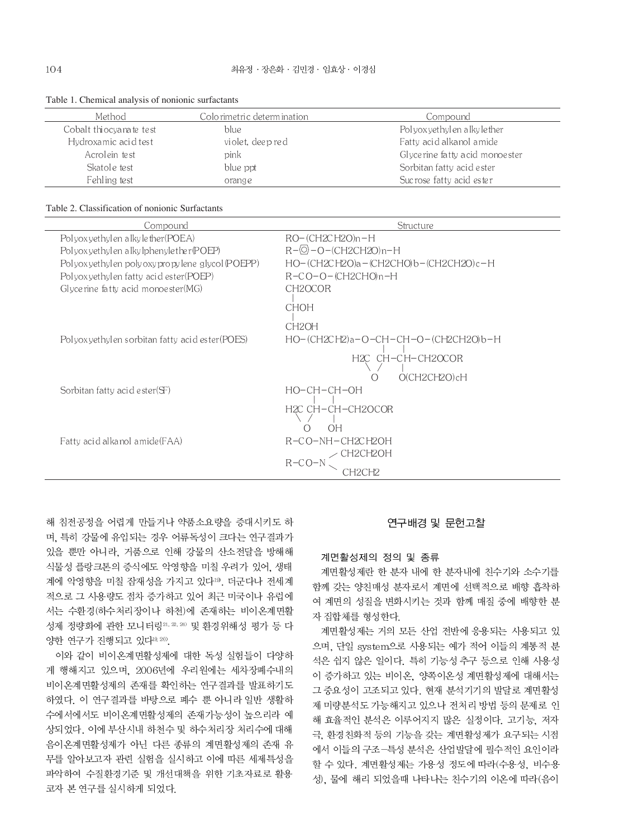| Method                  | Colo rimetri c determ ination . | Compound                       |
|-------------------------|---------------------------------|--------------------------------|
| Cobalt thiocyanate test | blue                            | Polyoxyethylen alkyle ther     |
| Hydroxamic acid test    | violet, deep red                | Fatty acid alkanol amide       |
| Acrolein test           | pink                            | Glycerine fatty acid monoester |
| Skatole test            | blue ppt                        | Sorbitan fatty acid ester      |
| Fehling test            | orange                          | Sucrose fatty acid ester       |

#### Table 1. Chemical analysis of nonionic surfactants

#### Table 2. Classification of nonionic Surfactants

| Compound                                         | Structure                                  |
|--------------------------------------------------|--------------------------------------------|
| Polyox yethylen alkyle ther (POEA)               | $RO-(CH2CH2O)$ n-H                         |
| Polyox yethylen alky lphenyle ther (POEP)        | $R-\circledcirc$ - O – (CH2CH2O) n – H     |
| Polyox yethylen poly oxypropylene glycol (POEPP) | HO-(CH2CH2O)a - (CH2CHO)b-(CH2CH2O)c-H     |
| Polyoxyethylen fatty acid ester(POEP)            | R-CO-O-(CH2CHO)n-H                         |
| Glycerine fatty acid monoester (MG)              | CH <sub>2</sub> OCOR                       |
|                                                  | <b>CHOH</b>                                |
|                                                  | CH <sub>2</sub> OH                         |
| Polyoxyethylen sorbitan fatty acid ester(POES)   | НО-(CH2CH2)a-O-CH-CH-O-(CH2CH2O)b-H        |
|                                                  | H2C CH-CH-CH2OCOR<br>$O(CH2CH2O)$ cH<br>() |
| Sorbitan fatty acid ester $(F)$                  | HO-CH-CH-OH                                |
|                                                  | H2C CH-CH-CH2OCOR                          |
|                                                  | <b>OH</b>                                  |
| Fatty acid alkanol amide (FAA)                   | R-CO-NH-CH2CH2OH                           |
|                                                  | ∠ CH2CH2OH<br>R-CO-N                       |
|                                                  | CH2CH2                                     |
|                                                  |                                            |

해 침전공정을 어렵게 만들거나 약품소요량을 증대시키도 하 며, 특히 강물에 유입되는 경우 어류독성이 크다는 연구결과가 있을 뿐만 아니라, 거품으로 인해 강물의 산소전달을 방해해 식물성 플랑크톤의 증식에도 악영향을 미칠 우려가 있어, 생태 계에 악영향을 미칠 잠재성을 가지고 있다<sup>19</sup>. 더군다나 전세계 적으로 그 사용량도 점차 증가하고 있어 최근 미국이나 유럽에 서는 수환경(하수처리장이나 하천)에 존재하는 비이온계면활 성제 정량화에 관한 모니터링 21, 22, 24) 및 환경위해성 평가 등 다 양한 연구가 진행되고 있다19,20).

이와 같이 비이온계면활성제에 대한 독성 실험들이 다양하 게 행해지고 있으며, 2006년에 우리원에는 세차장폐수내의 비이온계면활성제의 존재를 확인하는 연구결과를 발표하기도 하였다. 이 연구결과를 바탕으로 폐수 뿐 아니라 일반 생활하 수에서에서도 비이온계면활성제의 존재가능성이 높으리라 예 상되었다. 이에 부산시내 하천수 및 하수처리장 처리수에 대해 음이온계면활성제가 아닌 다른 종류의 계면활성제의 존재 유 무를 알아보고자 관련 실험을 실시하고 이에 따른 세제특성을 파악하여 수질환경기준 및 개선대책을 위한 기초자료로 활용 코자 본 연구를 실시하게 되었다.

### 연구배경 및 문헌고찰

#### 계면활성제의 정의 및 종류

계면활성제란 한 분자 내에 한 분자내에 친수기와 소수기를 함께 갖는 양친매성 분자로서 계면에 선택적으로 배향 흡착하 여 계면의 성질을 변화시키는 것과 함께 매질 중에 배향한 분 자 집합체를 형성한다.

계면활성제는 거의 모든 산업 전반에 응용되는 사용되고 있 으며, 단일 system으로 사용되는 예가 적어 이들의 계통적 분 석은 쉽지 않은 일이다. 특히 기능성 추구 등으로 인해 사용성 이 증가하고 있는 비이온. 양쪽이온성 계면활성제에 대해서는 그 중요성이 고조되고 있다. 현재 분석기기의 발달로 계면활성 제 미량분석도 가능해지고 있으나 전처리 방법 등의 문제로 인 해 효율적인 분석은 이루어지지 많은 실정이다. 고기능, 저자 극, 환경친화적 등의 기능을 갖는 계면활성제가 요구되는 시점 에서 이들의 구조-특성 분석은 산업발달에 필수적인 요인이라 할 수 있다. 계면활성제는 가용성 정도에 따라(수용성, 비수용 성), 물에 해리 되었을때 나타나는 친수기의 이온에 따라(음이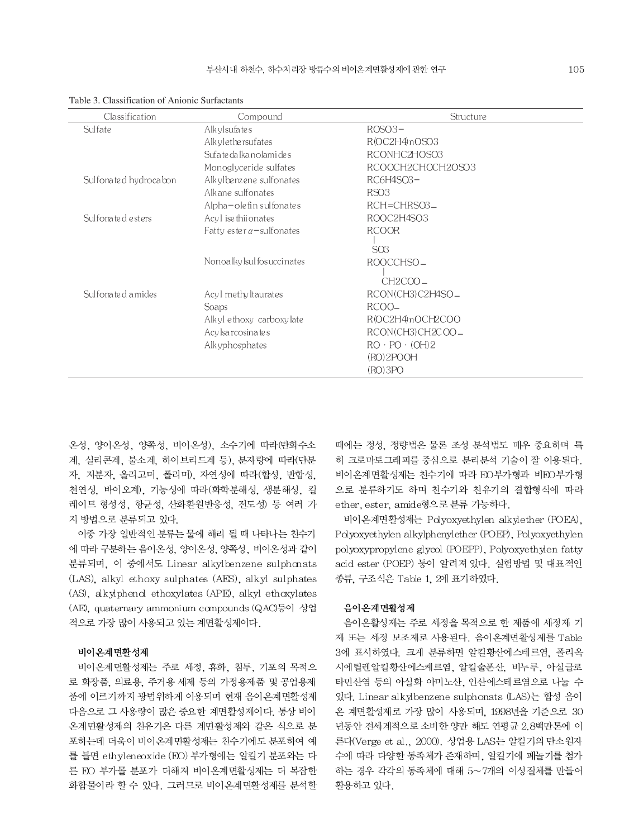| Classification        | Compound                          | Structure                 |
|-----------------------|-----------------------------------|---------------------------|
| Sulfate               | Alk yl sufa te s                  | $ROSO3-$                  |
|                       | Alk ylether sufates               | R(OC2H4)nOSO3             |
|                       | Sufa te da lka no lami de s       | RCONHC2HOSO3              |
|                       | Monoglyceride sulfates            | RCOOCH2CHOCH2OSO3         |
| Sulfonated hydrocabon | Alkylbenzene sulfonates           | RC6H4SO3-                 |
|                       | Alkane sulfonates                 | RSO <sub>3</sub>          |
|                       | Alpha-ole fin sul fonates         | $RCH=CHRSO3$              |
| Sulfonated esters     | Acyl isethiionates                | ROOC2H4SO3                |
|                       | Fatty ester $\alpha$ – sulfonates | <b>RCOOR</b>              |
|                       |                                   | SO <sub>3</sub>           |
|                       | Nonoalky Isul fos uccinates       | ROOCCHSO_                 |
|                       |                                   | CH2COO-                   |
| Sulfonated amides     | Acyl methyltaurates               | RCON(CH3)C2H4SO_          |
|                       | Soaps                             | $RCOO-$                   |
|                       | Alkyl ethoxy carboxylate          | R(OC2H4)nOCH2COO          |
|                       | Acy Isa roosina te s              | RCON(CH3)CH2COO_          |
|                       | Alk yphosphates                   | $RO \cdot PO \cdot (OH)2$ |
|                       |                                   | (RO)2POOH                 |
|                       |                                   | (RO)3PO                   |

Table 3. Classification of Anionic Surfactants

온성, 양이온성, 양쪽성, 비이온성), 소수기에 따라(탄화수소 계, 실리콘계, 불소계, 하이브리드계 등), 분자량에 따라(단분 자, 저분자, 올리고머, 폴리머), 자연성에 따라(합성, 반합성, 천연성, 바이오계, 기능성에 따라 (화학분해성, 생분해성, 킬 레이트 형성성, 항균성, 산화환원반응성, 전도성) 등 여러 가 지 방법으로 분류되고 있다.

이중 가장 일반적인 분류는 물에 해리 될 때 나타나는 친수기 에 따라 구분하는 음이온성, 양이온성, 양쪽성, 비이온성과 같이 분류되며, 이 중에서도 Linear alkylbenzene sulphonats (LAS), alkyl ethoxy sulphates (AES), alkyl sulphates (AS), alkylphenol ethoxylates (APE), alkyl ethoxylates (AE), quaternary ammonium compounds (QAC)등이 상업 적으로 가장 많이 사용되고 있는 계면활성제이다.

#### 비이온계면활성제

비이온계면활성제는 주로 세정, 휴화, 침투, 기포의 목적으 로 화장품, 의료용, 주거용 세제 등의 가정용제품 및 공업용제 품에 이르기까지 광범위하게 이용되며 현재 음이온계면활성제 다음으로 그 사용량이 많은 중요한 계면활성제이다. 통상 비이 온계면활성제의 친유기은 다른 계면활성제와 같은 식으로 분 포하는데 더욱이 비이온계면활성제는 친수기에도 분포하여 예 를 들면 ethyleneoxide (EO) 부가형에는 알킬기 분포와는 다 른 EO 부가몰 분포가 더해져 비이온계면활성제는 더 복잡한 화합물이라 할 수 있다. 그러므로 비이온계면활성제를 분석할 때에는 정성, 정량법은 물론 조성 분석법도 매우 중요하며 특 히 크로마토그래피를 중심으로 분리분석 기술이 잘 이용된다. 비이온계면활성제는 친수기에 따라 EO부가형과 비EO부가형 으로 분류하기도 하며 친수기와 친유기의 결합형식에 따라 ether, ester, amide형으로 분류 가능하다.

비이온계면활성제는 Polyoxyethylen alkylether (POEA), Polyoxyethylen alkylphenylether (POEP), Polyoxyethylen polyoxypropylene glycol (POEPP), Polyoxyethylen fatty acid ester (POEP) 등이 알려져 있다. 실험방법 및 대표적인 종류, 구조식은 Table 1, 2에 표기하였다.

### 음이온계면활성제

음이온활성제는 주로 세정을 목적으로 한 제품에 세정제 기 제 또는 세정 보조제로 사용된다. 음이온계면활성제를 Table 3에 표시하였다. 크게 분류하면 알킬황산에스테르염, 폴리옥 시에틸렌알킬황산에스케르염, 알킬술폰산, 비누루, 아실글로 타민산염 등의 아실화 아미노산, 인산에스테르염으로 나눌 수 있다. Linear alkylbenzene sulphonats (LAS)는 합성 음이 온 계면활성제로 가장 많이 사용되며, 1998년을 기준으로 30 년동안 전세계적으로 소비한 양만 해도 연평균 2.8백만톤에 이 른다(Verge et al., 2000). 상업용 LAS는 알킬기의 탄소원자 수에 따라 다양한 동족체가 존재하며, 알킬기에 페놀기를 첨가 하는 경우 각각의 동족체에 대해 5~7개의 이성질체를 만들어 활용하고 있다.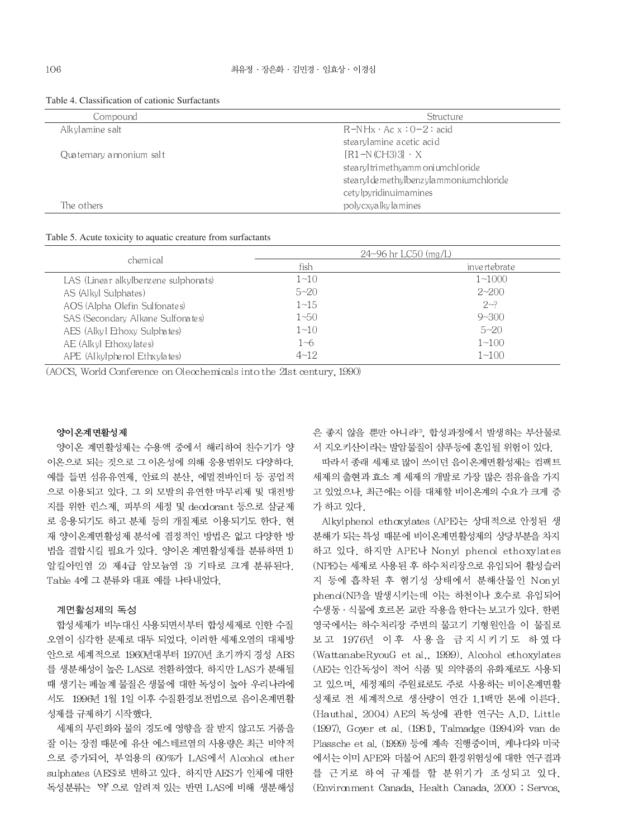| Compound                 | Structure                               |
|--------------------------|-----------------------------------------|
| Alkylamine salt          | $R-NHx \cdot Acx : 0-2 : acid$          |
|                          | stearylamine a cetic acid               |
| Quaternary annonium salt | $[R1-N(CH3)3] \cdot X$                  |
|                          | stearyl trimethyamm oni umchl oride     |
|                          | stearyl de methylbenzylammoniumchloride |
|                          | cetylpyridinuimamines                   |
| The others               | poly cxya lky la mines                  |

#### Table 4. Classification of cationic Surfactants

#### Table 5. Acute toxicity to aquatic creature from surfactants

|                                      |          | $24 - 96$ hr LC50 (mg/L) |  |  |  |
|--------------------------------------|----------|--------------------------|--|--|--|
| chemical                             | fish     | invertebrate             |  |  |  |
| LAS (Linear alkylbenzene sulphonats) | $1 - 10$ | $1 - 1000$               |  |  |  |
| AS (Alkyl Sulphates)                 | $5 - 20$ | $2 - 200$                |  |  |  |
| AOS (Alpha Olefin Sulfonates)        | $1 - 15$ | $2 - 2$                  |  |  |  |
| SAS (Secondary Alkane Sulfonates)    | 1~50     | $9 - 300$                |  |  |  |
| AES (Alkyl Ethoxy Sulphates)         | $1 - 10$ | $5 - 20$                 |  |  |  |
| AE (Alkyl Ethoxylates)               | 1~6      | $1 - 100$                |  |  |  |
| APE (Alkylphenol Ethxylates)         | $4 - 12$ | $1 - 100$                |  |  |  |

(AOCS, World Conference on Olecchemicals into the 21st century, 1990)

#### 양이온계면활성제

양이온 계면활성제는 수용액 중에서 해리하여 친수기가 양 이온으로 되는 것으로 그 이온성에 의해 응용범위도 다양하다. 예를 들면 섬유유연제, 안료의 분산, 에멀젼바인더 등 공업적 으로 이용되고 있다. 그 외 모발의 유연한 마무리제 및 대전방 지를 위한 린스제, 피부의 세정 및 decdorant 등으로 살균제 로 응용되기도 하고 분체 등의 개질제로 이용되기도 한다. 현 재 양이온계면활성제 분석에 결정적인 방법은 없고 다양한 방 법을 결합시킬 필요가 있다. 양이온 계면활성제를 분류하면 1) 알킬아민염 2) 제4급 암모늄염 3) 기타로 크게 분류된다. Table 4에 그 분류와 대표 예를 나타내었다.

#### 계면활성제의 독성

합성세제가 비누대신 사용되면서부터 합성세제로 인한 수질 오염이 심각한 문제로 대두 되었다. 이러한 세제오염의 대체방 안으로 세계적으로 1960년대부터 1970년 초기까지 경성 ABS 를 생분해성이 높은 LAS로 전환하였다. 하지만 LAS가 분해될 때 생기는 페놀계 물질은 생물에 대한 독성이 높아 우리나라에 서도 1996년 1월 1일 이후 수질환경보전법으로 음이온계면활 성제를 규제하기 시작했다.

세제의 무린화와 물의 경도에 영향을 잘 받지 않고도 거품을 잘 이는 장점 때문에 유산 에스테르염의 사용량은 최근 비약적 으로 증가되어, 부엌용의 60%가 LAS에서 Alcohol ether sulphates (AES)로 변하고 있다. 하지만 AES가 인체에 대한 독성분류는 '약' 으로 알려져 있는 반면 LAS에 비해 생분해성 은 좋지 않을 뿐만 아니라". 합성과정에서 발생하는 부산물로 서 지오키산이라는 발암물질이 샴푸등에 혼입될 위험이 있다.

따라서 종래 세제로 많이 쓰이던 음이온계면활성제는 컴팩트 세제의 출현과 효소 계 세제의 개발로 가장 많은 점유율을 가지 고 있었으나. 최근에는 이를 대체할 비이온계의 수요가 크게 증 가 하고 있다.

Alkylphenol ethoxylates (APE)는 상대적으로 안정된 생 분해가 되는 특성 때문에 비이온계면활성제의 상당부분을 차지 하고 있다. 하지만 APE나 Nonyl phenol ethoxylates (NPE)는 세제로 사용된 후 하수처리장으로 유입되어 활성슬러 지 등에 흡착된 후 혐기성 상태에서 분해산물인 Non yl phend(NP)을 발생시키는데 이는 하천이나 호수로 유입되어 수생동 · 식물에 호르몬 교란 작용을 한다는 보고가 있다. 한편 영국에서는 하수처리장 주변의 물고기 기형원인을 이 물질로 보고 1976년 이후 사용을 금지시키기도 하였다 (WattanabeRyouG et al., 1999). Alcohol ethoxylates (AE)는 인간독성이 적어 식품 및 의약품의 유화제로도 사용되 고 있으며, 세정제의 주원료로도 주로 사용하는 비이온계면활 성제로 전 세계적으로 생산량이 연간 1.1백만 톤에 이른다. (Hauthal, 2004) AE의 독성에 관한 연구는 A.D. Little (1997), Goyer et al. (1981), Talmadge (1994) & van de Plassche et al. (1999) 등에 계속 진행중이며, 케나다와 미국 에서는 이미 APE와 더불어 AE의 환경위험성에 대한 연구결과 를 근거로 하여 규제를 할 분위기가 조성되고 있다. (Environment Canada, Health Canada, 2000; Servos,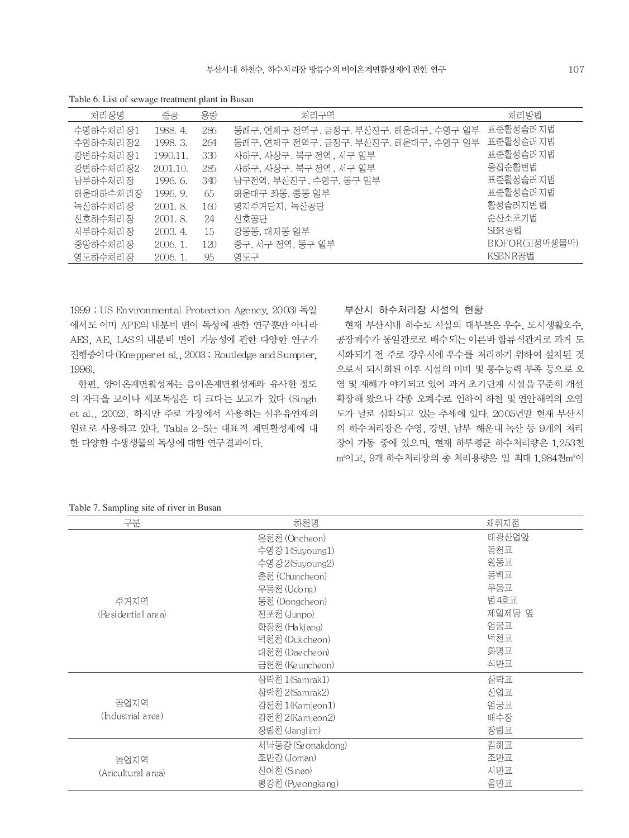| 처리장명      | 준공         | 용량  | 처리구역                                  | 처리방법           |
|-----------|------------|-----|---------------------------------------|----------------|
| 수영하수처리 장1 | 1988.4.    | 286 | 동래구, 연제구 전역구, 금정구, 부산진구, 해운대구, 수영구 일부 | 표준홤성슬러지법       |
| 수영하수처리 장2 | 1998.3.    | 264 | 동래구, 연제구 전역구, 금정구, 부산진구, 해운대구, 수영구 일부 | 표준홤성슬러지법       |
| 강변하수처리 장1 | 1990.11.   | 330 | 사하구, 사상구, 북구 전역, 서구 일부                | 표준홤성슬러지법       |
| 강변하수처리 장2 | 2001.10.   | 285 | 사하구, 사상구, 북구 전역 , 서구 일부               | 응집순홤변법         |
| 남부하수처리장   | 1996.6.    | 340 | 남구전역, 부산진구, 수영구, 동구 일부                | 표준홤성슬러지법       |
| 해운대하수처리장  | 1996.9.    | 65  | 해운대구 좌동, 중동 일부                        | 표준홤성슬러지법       |
| 녹산하수처리 장  | 2001.8     | 160 | 명지주거단지. 녹산공단                          | 활성슬러지변법        |
| 신호하수처리 장  | 2001.8.    | 24  | 신호공단                                  | 순산소포기법         |
| 서부하수처리 장  | 2003.4.    | 15  | 강동동, 대저동 일부                           | SBR공법          |
| 중앙하수처리 장  | $2006.1$ . | 120 | 중구, 서구 전역, 동구 일부                      | BIOFOR(고정막생물막) |
| 영도하수처리 장  | 2006.1.    | 95  | 영도구                                   | KSBNR공법        |
|           |            |     |                                       |                |

Table 6. List of sewage treatment plant in Busan

1999 ; US Environmental Protection Agency, 2003) 독일 에서도 이미 APE의 내분비 변이 독성에 관한 연구뿐만 아니라 AES, AE, LAS의 내분비 변이 가능성에 관한 다양한 연구가 진행중이다 (Knepper et al., 2003; Routledge and Sumpter, 1996)

한편, 양이온계면활성제는 음이온계면활성제와 유사한 정도 의 자극을 보이나 세포독성은 더 크다는 보고가 있다 (Singh et al., 2002). 하지만 주로 가정에서 사용하는 섬유유연제의 원료로 사용하고 있다. Table 2-5는 대표적 계면활성제에 대 한 다양한 수생생물의 독성에 대한 연구결과이다.

부산시 하수처리장 시설의 현황

현재 부산시내 하수도 시설의 대부분은 우수, 도시생활오수, 공장폐수가 동일관로로 배수되는 이른바 합류식관거로 과거 도 시화되기 전 주로 강우시에 우수를 처리하기 위하여 설치된 것 으로서 되시화된 이후 시설의 미비 및 통수능력 부족 등으로 오 염 및 재해가 야기되고 있어 과거 초기단계 시설을 꾸준히 개선 확장해 왔으나 각종 오페수로 인하여 하천 및 연안해역의 오염 도가 날로 심화되고 있는 추세에 있다. 2005년말 현재 부산시 의 하수처리장은 수영, 강변, 남부 해운대 녹산 등 9개의 처리 장이 가동 중에 있으며, 현재 하루평균 하수처리량은 1,253천 m<sup>3</sup>이고, 9개 하수처리장의 총 처리용량은 일 최대 1,984천m<sup>3</sup>이

Table 7. Sampling site of river in Busan

| 구분                 | 하천명               | 채취지점   |
|--------------------|-------------------|--------|
|                    | 온천천 (Oncheon)     | 태광산업앞  |
|                    | 수영강 1(Suyoung1)   | 동천교    |
|                    | 수영강 2(Suyoung2)   | 원동교    |
|                    | 춘천 (Chuncheon)    | 동백교    |
|                    | 우동천 (Udong)       | 우동교    |
| 주거지역               | 동천 (Dongcheon)    | 범 4호교  |
| (Residential area) | 전포천 (Junpo)       | 제일제당 옆 |
|                    | 학장천 (Hakjang)     | 엄궁교    |
|                    | 덕천전 (Duk cheon)   | 덕천교    |
|                    | 대천천 (Dae che on)  | 화명교    |
|                    | 금천천 (Ke uncheon)  | 식만교    |
|                    | 삼락천 1(Samrak1)    | 삼락교    |
|                    | 삼락천 2(Samrak2)    | 산업교    |
| 공업지역               | 감전천 1 (Kamjeon 1) | 엄궁교    |
| (Industrial area)  | 감전천 2(Kamjeon2)   | 배수장    |
|                    | 장림천 (Janglim)     | 장림교    |
|                    | 서낙동강 (Seonakdong) | 김해교    |
| 농업지역               | 조만강 (Joman)       | 조만교    |
| (Aricultural area) | 신어천 (Sineo)       | 시만교    |
|                    | 평강천 (Pyeongkang)  | 울만교    |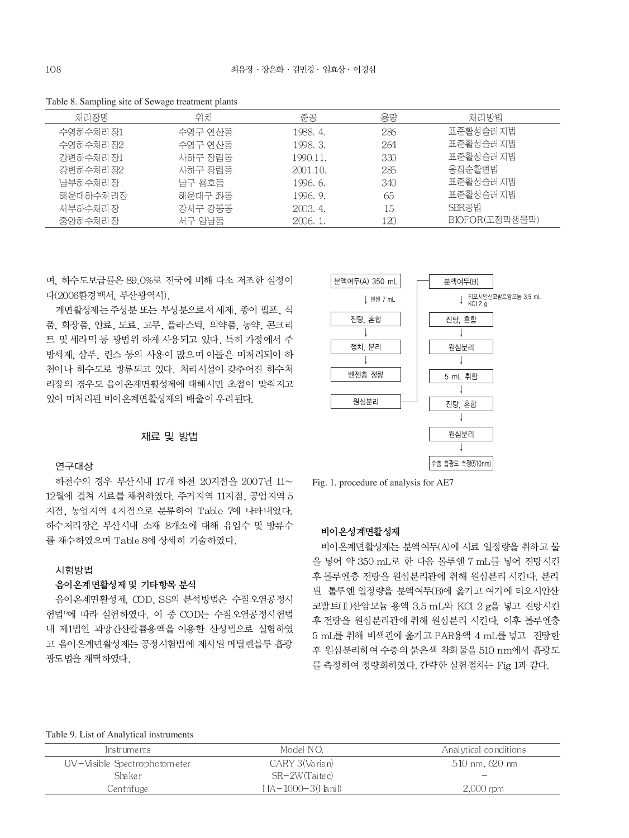Table 8. Sampling site of Sewage treatment plants

| 처리장명      | 위치      | 준공       | 용량  | 처리방법           |
|-----------|---------|----------|-----|----------------|
| 수영하수처리 장1 | 수영구 연산동 | 1988. 4. | 286 | 표준활성슬러지법       |
| 수영하수처리 장2 | 수영구 연산동 | 1998. 3. | 264 | 표준홤성슬러지법       |
| 강변하수처리 장1 | 사하구 장림동 | 1990.11. | 330 | 표준홤성슬러지법       |
| 강변하수처리 장2 | 사하구 장림동 | 2001.10. | 285 | 응집순활변법         |
| 남부하수처리 장  | 남구 용호동  | 1996.6.  | 340 | 표준활성슬러 지법      |
| 해운대하수처리장  | 해운대구 좌동 | 1996. 9. | 65  | 표준홤성슬러지법       |
| 서부하수처리 장  | 강서구 강동동 | 2003.4.  | 15  | SBR공법          |
| 중앙하수처리 장  | 서구 암남동  | 2006.1.  | 120 | BIOFOR(고정막생물막) |

며. 하수도보급률은 89.0%로 전국에 비해 다소 저조한 실정이 다(2006환경백서, 부산광역시).

계면활성제는 주성분 또는 부성분으로서 세제, 종이 펄프, 식 품, 화장품, 안료, 도료, 고무, 플라스틱, 의약품, 농약, 콘크리 트 및 세라믹 등 광범위 하게 사용되고 있다. 특히 가정에서 주 방세제, 샴푸, 린스 등의 사용이 많으며 이들은 미처리되어 하 천이나 하수도로 방류되고 있다. 처리시설이 갖추어진 하수처 리장의 경우도 음이온계면활성제에 대해서만 초점이 맞춰지고 있어 미처리된 비이온계면활성제의 배출이 우려된다.

## 재료 및 방법

### 연구대상

하천수의 경우 부산시내 17개 하천 20지점을 2007년 11~ 12월에 걸쳐 시료를 채취하였다. 주거지역 11지점, 공업지역 5 지점, 농업지역 4지점으로 분류하여 Table 7에 나타내었다. 하수처리장은 부산시내 소재 8개소에 대해 유입수 및 방류수 를 채수하였으며 Table 8에 상세히 기술하였다.

#### 시험방법

### 음이온계면활성제 및 기타항목 분석

음이온계면활성제 COD. SS의 분석방법은 수질오염공정시 험법<sup>10</sup>에 따라 실험하였다. 이 중 COD는 수질오염공정시험법 내 제1법인 과망간산칼륨용액을 이용한 산성법으로 실험하였 고 음이온계면활성제는 공정시험법에 제시된 메틸렌블루 흡광 광도법을 채택하였다.



Fig. 1. procedure of analysis for AE7

### 비이온성계면활성제

비이온계면활성제는 분액여두(A)에 시료 일정량을 취하고 물 을 넣어 약 350 mL로 한 다음 톨루엔 7 mL를 넣어 진탕시킨 후 톨루엔층 전량을 원심분리관에 취해 원심분리 시킨다. 분리 된 톨루엔 일정량을 분액여두(B)에 옮기고 여기에 티오시안산 코발트(II) 산암모늄 용액 3.5 mL와 KCl 2 g을 넣고 진탕시킨 후 전량을 원심분리관에 취해 원심분리 시킨다. 이후 톨루엔층 5 mL를 취해 비색관에 옮기고 PAR용액 4 mL를 넣고 진탕한 후 원심분리하여 수층의 붉은색 착화물을 510 nm에서 흡광도 를 측정하여 정량화하였다. 간략한 실험절차는 Fig 1과 같다.

#### Table 9. List of Analytical instruments

| Instruments                  | Model NO.           | Analytical conditions |
|------------------------------|---------------------|-----------------------|
| UV-Visible Spectrophotometer | CARY 3(Varian)      | 510 nm, 620 nm        |
| Shaker                       | SR-2W(Taitec)       |                       |
| Centrifuge                   | $HA-1000-3$ (Hanil) | $2,000$ rpm           |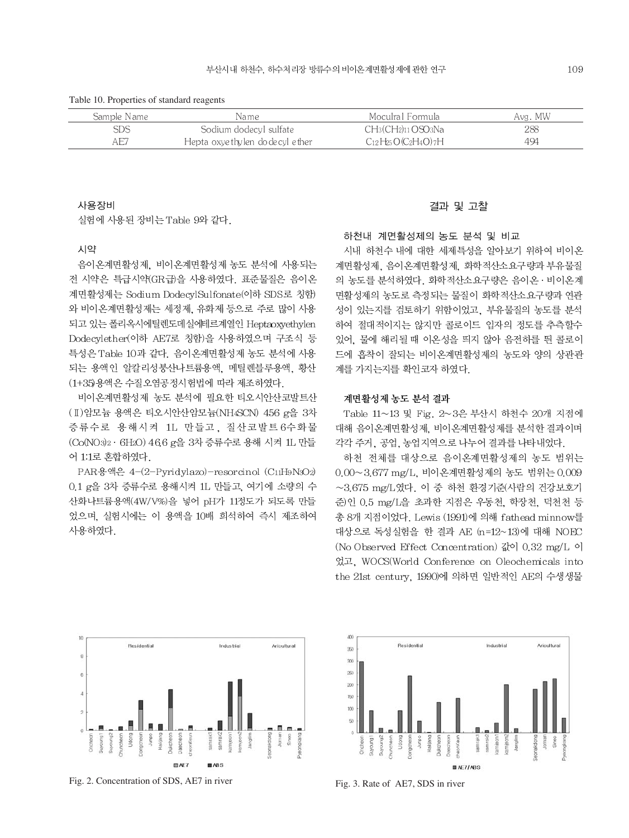Table 10. Properties of standard reagents

| Sample Name | Name                             | - Moculral Formula                    | Avg. MW |
|-------------|----------------------------------|---------------------------------------|---------|
| SDS         | Sodium dodecyl sulfate           | $CH_3(CH_2)_{11}$ OSO <sub>3</sub> Na | 288     |
| AE7         | Hepta oxyethylen do de cyl ether | $C_{12}H_{25}O(C_2H_4O)$ 7H           | 494     |
|             |                                  |                                       |         |

### 사용장비

실험에 사용된 장비는 Table 9와 같다.

#### 시약

음이온계면활성제, 비이온계면활성제 농도 분석에 사용되는 전 시약은 특급시약(GR급)을 사용하였다. 표준물질은 음이온 계면활성제는 Sodium DodecylSulfonate(이하 SDS로 칭함) 와 비이온계면활성제는 세정제, 유화제 등으로 주로 많이 사용 되고 있는 폴리옥시에틸렌도데실에테르계열인 Heptaoxyethylen Dodecylether(이하 AE7로 칭함)을 사용하였으며 구조식 등 특성은 Table 10과 같다. 음이온계면활성제 농도 분석에 사용 되는 용액인 알칼리성붕산나트륨용액, 메틸렌블루용액, 황산 (1+35)용액은 수질오염공정시험법에 따라 제조하였다.

비이온계면활성제 농도 분석에 필요한 티오시안산코발트산 (I) 암모늄 용액은 티오시안산암모늄(NH4SCN) 456 g을 3차 증류수로 용해시켜 1L 만들고, 질산코발트6수화물 (Co(NO3)2 · 6H2O) 46.6 g을 3차 증류수로 용해 시켜 1L 만들 어 1:1로 혼합하였다.

PAR용액은 4-(2-Pyridylazo)-resorcinol (C11H9N3O2) 0.1 g을 3차 증류수로 용해시켜 1L 만들고, 여기에 소량의 수 산화나트륨용액(4W/V%)을 넣어 pH가 11정도가 되도록 만들 었으며, 실험시에는 이 용액을 10배 희석하여 즉시 제조하여 사용하였다.

### 결과 및 고찰

하천내 계면활성제의 농도 분석 및 비교

시내 하천수 내에 대한 세제특성을 알아보기 위하여 비이온 계면활성제, 음이온계면활성제, 화학적산소요구량과 부유물질 의 농도를 분석하였다. 화학적산소요구량은 음이온 · 비이온계 면활성제의 농도로 측정되는 물질이 화학적산소요구량과 연관 성이 있는지를 검토하기 위함이었고, 부유물질의 농도를 분석 하여 절대적이지는 않지만 콜로이드 입자의 정도를 추측할수 있어. 물에 해리될 때 이온성을 띄지 않아 음전하를 띈 콜로이 드에 흡착이 잘되는 비이온계면활성제의 농도와 양의 상관관 계를 가지는지를 확인코자 하였다.

### 계면활성제 농도 분석 결과

Table 11~13 및 Fig. 2~3은 부산시 하천수 20개 지점에 대해 음이온계면활성제, 비이온계면활성제를 분석한 결과이며 각각 주거, 공업, 농업지역으로 나누어 결과를 나타내었다.

하천 전체를 대상으로 음이온계면활성제의 농도 범위는 0.00~3.677 mg/L, 비이온계면활성제의 농도 범위는 0.009  $\sim$ 3.675 mg/L였다. 이 중 하천 환경기준(사람의 건강보호기 준)인 0.5 mg/L을 초과한 지점은 우동천, 학장천, 덕천천 등 총 8개 지점이었다. Lewis (1991)에 의해 fathead minnow를 대상으로 독성실험을 한 결과 AE (n=12~13)에 대해 NOEC (No Observed Effect Concentration) 값이 0.32 mg/L 이 었고, WOCS(World Conference on Oleochemicals into the 21st century, 1990)에 의하면 일반적인 AE의 수생생물



Fig. 2. Concentration of SDS, AE7 in river



Fig. 3. Rate of AE7, SDS in river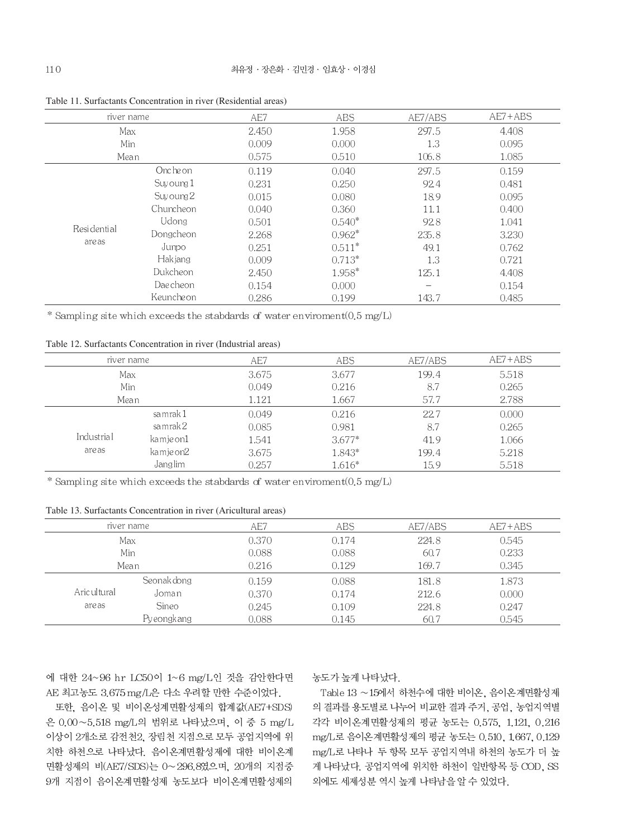| river name  |            | AE7   | ABS      | AE7/ABS                  | $AE7 + ABS$ |
|-------------|------------|-------|----------|--------------------------|-------------|
| Max         |            | 2.450 | 1.958    | 297.5                    | 4.408       |
| Min         |            | 0.009 | 0.000    | 1.3                      | 0.095       |
| Mean        |            | 0.575 | 0.510    | 106.8                    | 1.085       |
|             | Oncheon    | 0.119 | 0.040    | 297.5                    | 0.159       |
|             | Suvoung 1  | 0.231 | 0.250    | 92.4                     | 0.481       |
|             | Suy oung 2 | 0.015 | 0.080    | 18.9                     | 0.095       |
|             | Chuncheon  | 0.040 | 0.360    | 11.1                     | 0.400       |
|             | Udong      | 0.501 | $0.540*$ | 92.8                     | 1.041       |
| Residential | Dongcheon  | 2.268 | $0.962*$ | 235.8                    | 3.230       |
| are as      | Jumpo      | 0.251 | $0.511*$ | 49.1                     | 0.762       |
|             | Hak jang   | 0.009 | $0.713*$ | 1.3                      | 0.721       |
|             | Dukcheon   | 2.450 | $1.958*$ | 125.1                    | 4.408       |
|             | Dae cheon  | 0.154 | 0.000    | $\overline{\phantom{0}}$ | 0.154       |
|             | Keunche on | 0.286 | 0.199    | 143.7                    | 0.485       |

Table 11. Surfactants Concentration in river (Residential areas)

\* Sampling site which exceeds the stabdards of water enviroment  $(0.5 \text{ mg/L})$ 

Table 12. Surfactants Concentration in river (Industrial areas)

|            | river name |       | ABS      | AE7/ABS | $AE7 + ABS$ |
|------------|------------|-------|----------|---------|-------------|
|            | Max        |       | 3.677    | 199.4   | 5.518       |
| Min        |            | 0.049 | 0.216    | 8.7     | 0.265       |
| Mean       |            | 1.121 | 1.667    | 57.7    | 2.788       |
|            | samrak 1   | 0.049 | 0.216    | 22.7    | 0.000       |
|            | sa mrak 2  | 0.085 | 0.981    | 8.7     | 0.265       |
| Industrial | kamje on1  | 1.541 | $3.677*$ | 41.9    | 1.066       |
| are as     | kamje on2  | 3.675 | 1.843*   | 199.4   | 5.218       |
|            | Janglim    | 0.257 | 1.616*   | 15.9    | 5.518       |

\* Sampling site which exceeds the stabdards of water enviroment(0.5 mg/L)

Table 13. Surfactants Concentration in river (Aricultural areas)

|               | river name  | AE7    | ABS   | AE7/ABS | $AE7 + ABS$ |
|---------------|-------------|--------|-------|---------|-------------|
| Max           |             | 0.370- | 0.174 | 224.8   | 0.545       |
|               | Min         | 0.088  | 0.088 | 60.7    | 0.233       |
|               | Mean        | 0.216  | 0.129 | 169.7   | 0.345       |
|               | Seonak dong | 0.159  | 0.088 | 181.8   | 1.873       |
| Aric ul tural | Joman       | 0.370  | 0.174 | 212.6   | 0.000       |
| are as        | Sineo       | 0.245  | 0.109 | 224.8   | 0.247       |
|               | Pyeongkang  | 0.088  | 0.145 | 60.7    | 0.545       |
|               |             |        |       |         |             |

에 대한 24~96 hr LC50이 1~6 mg/L인 것을 감안한다면 AE 최고농도 3.675 mg/L은 다소 우려할 만한 수준이었다.

또한, 음이온 및 비이온성계면활성제의 합계값(AE7+SDS) 은 0.00~5.518 mg/L의 범위로 나타났으며, 이 중 5 mg/L 이상이 2개소로 감전천2, 장림천 지점으로 모두 공업지역에 위 치한 하천으로 나타났다. 음이온계면활성제에 대한 비이온계 면활성제의 비(AE7/SDS)는 0~296.8였으며, 20개의 지점중 9개 지점이 음이온계면활성제 농도보다 비이온계면활성제의 농도가 높게 나타났다.

Table 13 ~15에서 하천수에 대한 비이온, 음이온계면활성제 의 결과를 용도별로 나누어 비교한 결과 주거, 공업, 농업지역별 각각 비이온계면활성제의 평균 농도는 0.575, 1.121, 0.216 mg/L로 음이온계면활성제의 평균 농도는 0.510, 1667, 0.129 mg/L로 나타나 두 항목 모두 공업지역내 하천의 농도가 더 높 게 나타났다. 공업지역에 위치한 하천이 일반항목 등 COD, SS 외에도 세제성분 역시 높게 나타남을 알 수 있었다.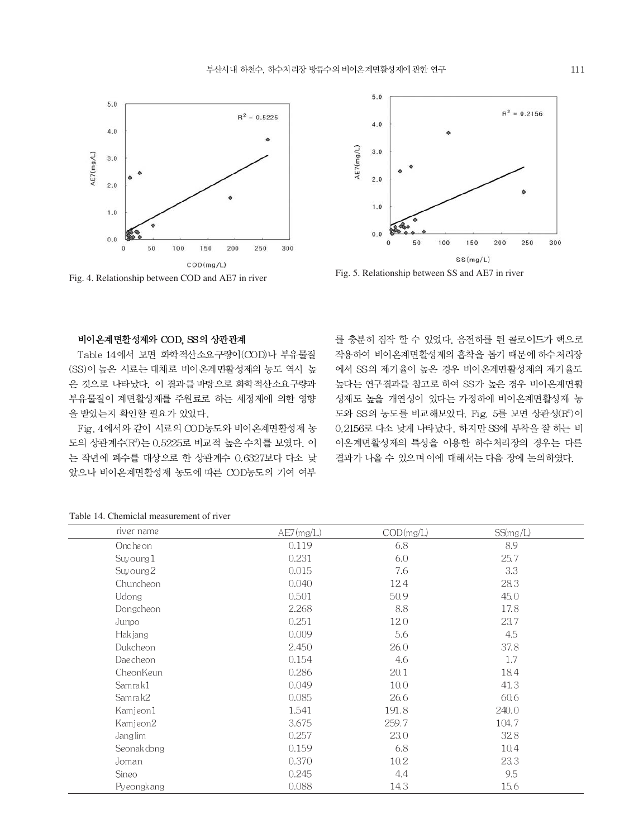



Fig. 4. Relationship between COD and AE7 in river Fig. 5. Relationship between SS and AE7 in river

### 비이온계면활성제와 COD, SS의 상관관계

Table 14에서 보면 화학적산소요구량이(COD)나 부유물질 (SS)이 높은 시료는 대체로 비이온계면활성제의 농도 역시 높 은 것으로 나타났다. 이 결과를 바탕으로 화학적산소요구량과 부유물질이 계면활성제를 주원료로 하는 세정제에 의한 영향 을 받았는지 확인할 필요가 있었다.

Fig. 4에서와 같이 시료의 COD농도와 비이온계면활성제 농 도의 상관계수(R2)는 0.5225로 비교적 높은 수치를 보였다. 이 는 작년에 폐수를 대상으로 한 상관계수 0.6327보다 다소 낮 았으나 비이온계면활성제 농도에 따른 COD농도의 기여 여부

를 충분히 짐작 할 수 있었다. 음전하를 띈 콜로이드가 핵으로 작용하여 비이온계면활성제의 흡착을 돕기 때문에 하수처리장 에서 SS의 제거율이 높은 경우 비이온계면활성제의 제거율도 높다는 연구결과를 참고로 하여 SS가 높은 경우 비이온계면활 성제도 높을 개연성이 있다는 가정하에 비이온계면활성제 농 도와 SS의 농도를 비교해보았다. Fig. 5를 보면 상관성(R2)이 0.2156로 다소 낮게 나타났다. 하지만 SS에 부착을 잘 하는 비 이온계면활성제의 특성을 이용한 하수처리장의 경우는 다른 결과가 나올 수 있으며 이에 대해서는 다음 장에 논의하였다.

| river name  | $AE7$ (mg/L) | COD(mg/L) | SS(mg/L) |
|-------------|--------------|-----------|----------|
| Onche on    | 0.119        | 6.8       | 8.9      |
| Suy oung 1  | 0.231        | 6.0       | 25.7     |
| Suy oung 2  | 0.015        | 7.6       | 3.3      |
| Chuncheon   | 0.040        | 12.4      | 28.3     |
| Udong       | 0.501        | 50.9      | 45.0     |
| Dongcheon   | 2.268        | 8.8       | 17.8     |
| Junpo       | 0.251        | 12.0      | 23.7     |
| Hak jang    | 0.009        | 5.6       | 4.5      |
| Dukcheon    | 2.450        | 26.0      | 37.8     |
| Daecheon    | 0.154        | 4.6       | 1.7      |
| CheonKeun   | 0.286        | 20.1      | 18.4     |
| Samrak1     | 0.049        | 10.0      | 41.3     |
| Samrak2     | 0.085        | 26.6      | 60.6     |
| Kamjeon1    | 1.541        | 191.8     | 240.0    |
| Kamjeon2    | 3.675        | 259.7     | 104.7    |
| Janglim     | 0.257        | 23.0      | 32.8     |
| Seonak dong | 0.159        | 6.8       | 10.4     |
| Joman       | 0.370        | 10.2      | 23.3     |
| Sineo       | 0.245        | 4.4       | 9.5      |
| Pyeongkang  | 0.088        | 14.3      | 15.6     |

Table 14. Chemiclal measurement of river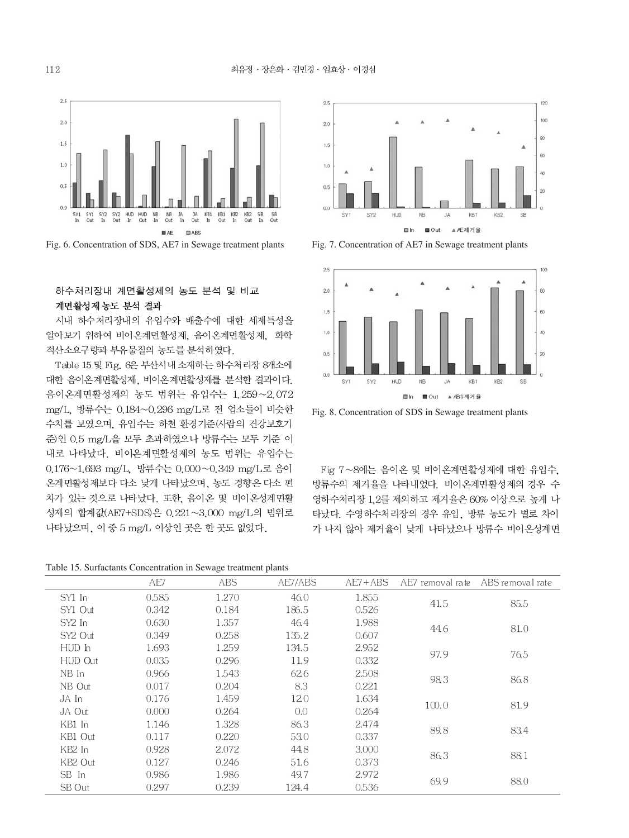



### 하수처리장내 계면활성제의 농도 분석 및 비교 계면활성제 농도 분석 결과

시내 하수처리장내의 유입수와 배출수에 대한 세제특성을 알아보기 위하여 비이온계면활성제, 음이온계면활성제, 화학 적산소요구량과 부유물질의 농도를 분석하였다.

Table 15 및 Fig. 6은 부산시내 소재하는 하수처리장 8개소에 대한 음이온계면활성제, 비이온계면활성제를 분석한 결과이다. 음이온계면활성제의 농도 범위는 유입수는 1.259~2.072 mg/L, 방류수는 0.184~0.296 mg/L로 전 업소들이 비슷한 수치를 보였으며, 유입수는 하천 환경기준(사람의 건강보호기 준)인 0.5 mg/L을 모두 초과하였으나 방류수는 모두 기준 이 내로 나타났다. 비이온계면활성제의 농도 범위는 유입수는 0.176~1.693 mg/L, 방류수는 0.000~0.349 mg/L로 음이 온계면활성제보다 다소 낮게 나타났으며, 농도 경향은 다소 편 차가 있는 것으로 나타났다. 또한, 음이온 및 비이온성계면활 성제의 합계값(AE7+SDS)은 0.221~3.000 mg/L의 범위로 나타났으며, 이 중 5 mg/L 이상인 곳은 한 곳도 없었다.

Table 15. Surfactants Concentration in Sewage treatment plants





Fig. 8. Concentration of SDS in Sewage treatment plants

Fig 7~8에는 음이온 및 비이온계면활성제에 대한 유입수, 방류수의 제거율을 나타내었다. 비이온계면활성제의 경우 수 영하수처리장 1,2를 제외하고 제거율은 60% 이상으로 높게 나 타났다. 수영하수처리장의 경우 유입, 방류 농도가 별로 차이 가 나지 않아 제거율이 낮게 나타났으나 방류수 비이온성계면

| Table 15. Surfactually Concentration in Sewage treatment plants |       |       |         |             |                  |                  |
|-----------------------------------------------------------------|-------|-------|---------|-------------|------------------|------------------|
|                                                                 | AE7   | ABS.  | AE7/ABS | $AE7 + ABS$ | AE7 removal rate | ABS removal rate |
| SY1 In                                                          | 0.585 | 1.270 | 46.0    | 1.855       | 41.5             |                  |
| SY1 Out                                                         | 0.342 | 0.184 | 186.5   | 0.526       |                  | 85.5             |
| SY2 In                                                          | 0.630 | 1.357 | 46.4    | 1.988       | 81.0<br>44.6     |                  |
| SY2 Out                                                         | 0.349 | 0.258 | 135.2   | 0.607       |                  |                  |
| HUD In                                                          | 1.693 | 1.259 | 134.5   | 2.952       | 97.9             | 76.5             |
| HUD Out                                                         | 0.035 | 0.296 | 11.9    | 0.332       |                  |                  |
| NB In                                                           | 0.966 | 1.543 | 62.6    | 2.508       | 98.3             | 86.8             |
| NB Out                                                          | 0.017 | 0.204 | 8.3     | 0.221       |                  |                  |
| JA In                                                           | 0.176 | 1.459 | 120     | 1.634       | 100.0            | 81.9             |
| JA Out                                                          | 0.000 | 0.264 | 0.0     | 0.264       |                  |                  |
| KB1 In                                                          | 1.146 | 1.328 | 86.3    | 2.474       | 89.8             | 83.4             |
| KB1 Out                                                         | 0.117 | 0.220 | 53.0    | 0.337       |                  |                  |
| KB2 In                                                          | 0.928 | 2.072 | 44.8    | 3.000       | 86.3             | 88.1             |
| KB <sub>2</sub> Out                                             | 0.127 | 0.246 | 51.6    | 0.373       |                  |                  |
| SB In                                                           | 0.986 | 1.986 | 49.7    | 2.972       | 69.9             | 88.0             |
| SB Out                                                          | 0.297 | 0.239 | 124.4   | 0.536       |                  |                  |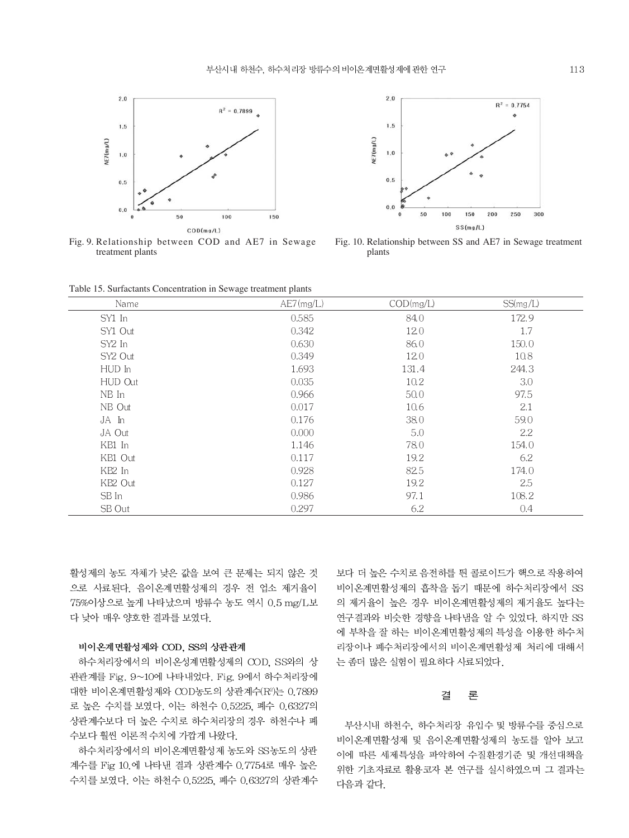

Fig. 9. Relationship between COD and AE7 in Sewage treatment plants



Fig. 10. Relationship between SS and AE7 in Sewage treatment plants

Table 15. Surfactants Concentration in Sewage treatment plants

| Name    | AE7(mg/L) | COD(mg/L) | SS(mg/L) |
|---------|-----------|-----------|----------|
| SY1 In  | 0.585     | 84.0      | 172.9    |
| SY1 Out | 0.342     | 12.0      | 1.7      |
| SY2 In  | 0.630     | 86.0      | 150.0    |
| SY2 Out | 0.349     | 12.0      | 10.8     |
| HUD In  | 1.693     | 131.4     | 244.3    |
| HUD Out | 0.035     | 10.2      | 3.0      |
| NB In   | 0.966     | 50.0      | 97.5     |
| NB Out  | 0.017     | 10.6      | 2.1      |
| JA In   | 0.176     | 38.0      | 59.0     |
| JA Out  | 0.000     | 5.0       | 2.2      |
| KB1 In  | 1.146     | 78.0      | 154.0    |
| KB1 Out | 0.117     | 19.2      | 6.2      |
| KB2 In  | 0.928     | 82.5      | 174.0    |
| KB2 Out | 0.127     | 19.2      | 2.5      |
| SB In   | 0.986     | 97.1      | 108.2    |
| SB Out  | 0.297     | 6.2       | 0.4      |

활성제의 농도 자체가 낮은 값을 보여 큰 문제는 되지 않은 것 으로 사료된다. 음이온계면활성제의 경우 전 업소 제거율이 75%이상으로 높게 나타났으며 방류수 농도 역시 0.5 mg/L보 다 낮아 매우 양호한 결과를 보였다.

### 비이온계면활성제와 COD, SS의 상관관계

하수처리장에서의 비이온성계면활성제의 COD, SS와의 상 관관계를 Fig. 9~10에 나타내었다. Fig. 9에서 하수처리장에 대한 비이온계면활성제와 COD농도의 상관계수(R<sup>2</sup>)는 0.7899 로 높은 수치를 보였다. 이는 하천수 0.5225, 폐수 0.6327의 상관계수보다 더 높은 수치로 하수처리장의 경우 하천수나 폐 수보다 훨씬 이론적 수치에 가깝게 나왔다.

하수처리장에서의 비이온계면활성제 농도와 SS농도의 상관 계수를 Fig 10.에 나타낸 결과 상관계수 0.7754로 매우 높은 수치를 보였다. 이는 하천수 0.5225, 폐수 0.6327의 상관계수 보다 더 높은 수치로 음전하를 띈 콜로이드가 핵으로 작용하여 비이온계면활성제의 흡착을 돕기 때문에 하수처리장에서 SS 의 제거율이 높은 경우 비이온계면활성제의 제거율도 높다는 연구결과와 비슷한 경향을 나타냄을 알 수 있었다. 하지만 SS 에 부착을 잘 하는 비이온계면활성제의 특성을 이용한 하수처 리장이나 폐수처리장에서의 비이온계면활성제 처리에 대해서 는 좀더 많은 실험이 필요하다 사료되었다.

#### 론 결

부산시내 하천수, 하수처리장 유입수 및 방류수를 중심으로 비이온계면활성제 및 음이온계면활성제의 농도를 알아 보고 이에 따른 세제특성을 파악하여 수질환경기준 및 개선대책을 위한 기초자료로 활용코자 본 연구를 실시하였으며 그 결과는 다음과 같다.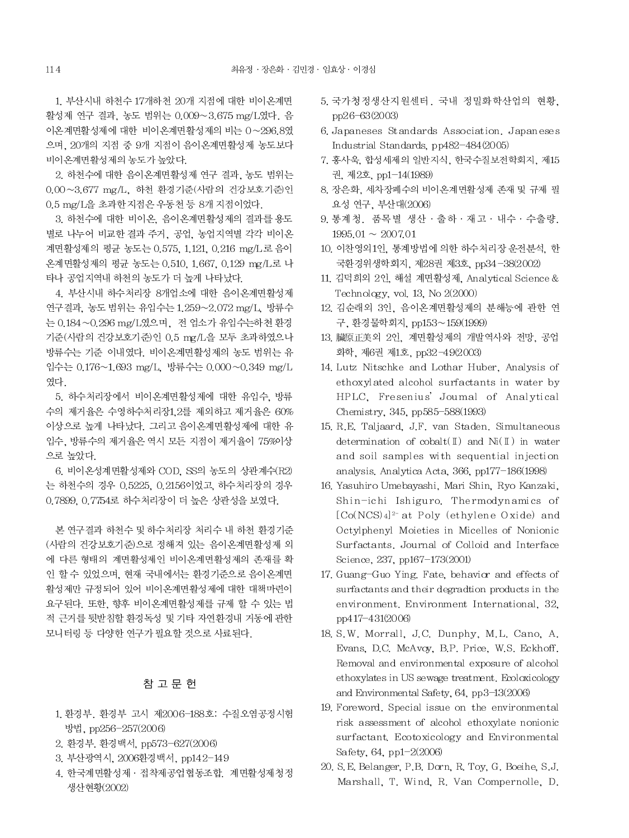1. 부산시내 하천수 17개하천 20개 지점에 대한 비이온계면 활성제 연구 결과, 농도 범위는 0.009~3.675 mg/L였다. 음 이온계면활성제에 대한 비이온계면활성제의 비는 0~296.8였 으며, 20개의 지점 중 9개 지점이 음이온계면활성제 농도보다 비이온계면활성제의 농도가 높았다.

2. 하천수에 대한 음이온계면활성제 연구 결과. 농도 범위는 0.00~3.677 mg/L, 하천 환경기준(사람의 건강보호기준)인 0.5 mg/L을 초과한 지점은 우동천 등 8개 지점이었다.

3. 하천수에 대한 비이온, 음이온계면활성제의 결과를 용도 별로 나누어 비교한 결과 주거, 공업, 농업지역별 각각 비이온 계면활성제의 평균 농도는 0.575, 1.121, 0.216 mg/L 로 음이 온계면활성제의 평균 농도는 0.510, 1.667, 0.129 mg/L로 나 타나 공업지역내 하천의 농도가 더 높게 나타났다.

4. 부산시내 하수처리장 8개업소에 대한 음이온계면활성제 연구결과. 농도 범위는 유입수는 1.259~2.072 mg/L. 방류수 는 0.184~0.296 mg/L였으며, 전 업소가 유입수는하천 환경 기준(사람의 건강보호기준)인 0.5 mg/L을 모두 초과하였으나 방류수는 기준 이내였다. 비이온계면활성제의 농도 범위는 유 입수는 0.176~1.693 mg/L, 방류수는 0.000~0.349 mg/L 였다.

5. 하수처리장에서 비이온계면활성제에 대한 유입수, 방류 수의 제거율은 수영하수처리장1.2를 제외하고 제거율은 60% 이상으로 높게 나타났다. 그리고 음이온계면활성제에 대한 유 입수. 방류수의 제거율은 역시 모든 지점이 제거율이 75%이상 으로 높았다.

6. 비이온성계면활성제와 COD, SS의 농도의 상관계수(R2) 는 하천수의 경우 0.5225, 0.2156이었고, 하수처리장의 경우 0.7899, 0.7754로 하수처리장이 더 높은 상관성을 보였다.

본 연구결과 하천수 및 하수처리장 처리수 내 하천 환경기준 (사람의 건강보호기준)으로 정해져 있는 음이온계면활성제 외 에 다른 형태의 계면활성제인 비이온계면활성제의 존재를 확 인 할 수 있었으며, 현재 국내에서는 환경기준으로 음이온계면 활성제만 규정되어 있어 비이온계면활성제에 대한 대책마련이 요구된다. 또한, 향후 비이온계면활성제를 규제 할 수 있는 법 적 근거를 뒷받침할 환경독성 및 기타 자연환경내 거동에 관한 모니터링 등 다양한 연구가 필요할 것으로 사료된다.

## 참 고 문 헌

- 1. 환경부. 환경부 고시 제2006-188호: 수질오염공정시험 방법, pp256-257(2006)
- 2. 환경부. 환경백서, pp573-627(2006)
- 3. 부산광역시, 2006환경백서, pp142-149
- 4. 한국계면활성제 · 접착제공업협동조합. 계면활성제청정 생산현황(2002)
- 5. 국가청정생산지원센터. 국내 정밀화학산업의 현황, pp26-63(2003)
- 6. Japaneses Standards Association. Japaneses Industrial Standards, pp482-484(2005)
- 7. 홍사욱, 합성세제의 일반지식, 한국수질보전학회지, 제15 권. 제2호. pp1-14(1989)
- 8. 장은화, 세차장폐수의 비이온계면활성제 존재 및 규제 필 요성 연구, 부산대(2006)
- 9. 통계청. 품목별 생산 · 출하 · 재고 · 내수 · 수출량.  $1995.01 \sim 2007.01$
- 10. 이찬영외1인, 통계방법에 의한 하수처리장 운전분석, 한 국환경위생학회지, 제28권 제3호, pp34-38(2002)
- 11. 김덕희외 2인, 해설 계면활성제, Analytical Science & Technology, vol. 13, No 2(2000)
- 12. 김순래외 3인, 음이온계면활성제의 분해능에 관한 연 구, 환경물학회지, pp153~159(1999)
- 13. 臟原正美외 2인, 계면활성제의 개발역사와 전망, 공업 화학, 제6권 제1호, pp32-49(2003)
- 14. Lutz Nitschke and Lothar Huber, Analysis of ethoxylated alcohol surfactants in water by HPLC, Fresenius' Joumal of Analytical Chemistry, 345, pp585-588(1993)
- 15, R.E. Taljaard, J.F. van Staden. Simultaneous determination of  $\text{cobalt}(\mathbb{I})$  and  $\text{Ni}(\mathbb{I})$  in water and soil samples with sequential injection analysis. Analytica Acta, 366, pp177-186(1998)
- 16. Yasuhiro Umebayashi, Mari Shin, Ryo Kanzaki, Shin-ichi Ishiguro. Thermodynamics of [Co(NCS)4]<sup>2-</sup> at Poly (ethylene Oxide) and Octylphenyl Moieties in Micelles of Nonionic Surfactants, Journal of Colloid and Interface Science, 237, pp167-173(2001)
- 17. Guang-Guo Ying. Fate, behavior and effects of surfactants and their degradion products in the environment, Environment International, 32. pp417-431(2006)
- 18. S.W. Morrall, J.C. Dunphy, M.L. Cano, A. Evans, D.C. McAvoy, B.P. Price, W.S. Eckhoff. Removal and environmental exposure of alcohol ethoxylates in US sewage treatment. Ecoloxicology and Environmental Safety, 64, pp3-13(2006)
- 19. Foreword. Special issue on the environmental risk assessment of alcohol ethoxylate nonionic surfactant. Ecotoxicology and Environmental Safety,  $64$ , pp1-2 $(2006)$
- 20. S.E. Belanger, P.B. Dorn, R. Toy, G. Boeihe, S.J. Marshall, T. Wind, R. Van Compernolle, D.